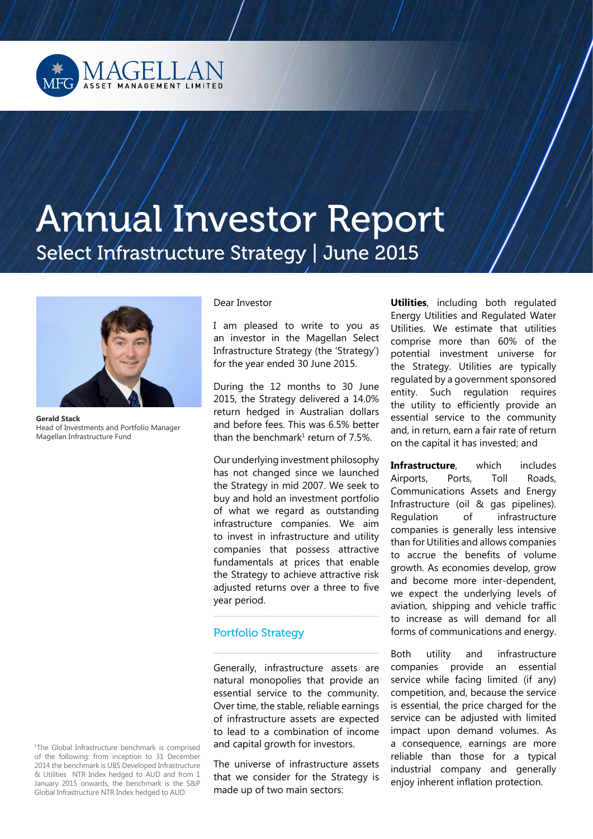

# Annual Investor Report Select Infrastructure Strategy | June 2015



**Gerald Stack**  Head of Investments and Portfolio Manager Magellan Infrastructure Fund

Dear Investor

I am pleased to write to you as an investor in the Magellan Select Infrastructure Strategy (the 'Strategy') for the year ended 30 June 2015.

During the 12 months to 30 June 2015, the Strategy delivered a 14.0% return hedged in Australian dollars and before fees. This was 6.5% better than the benchmark $1$  return of 7.5%.

Our underlying investment philosophy has not changed since we launched the Strategy in mid 2007. We seek to buy and hold an investment portfolio of what we regard as outstanding infrastructure companies. We aim to invest in infrastructure and utility companies that possess attractive fundamentals at prices that enable the Strategy to achieve attractive risk adjusted returns over a three to five year period.

\_\_\_\_\_\_\_\_\_\_\_\_\_\_\_\_\_\_\_\_\_\_\_\_\_\_\_\_\_\_\_\_\_\_\_\_\_\_\_\_\_

 $\overline{\phantom{a}}$  , and the contract of the contract of the contract of  $\overline{\phantom{a}}$ 

## Portfolio Strategy

Generally, infrastructure assets are natural monopolies that provide an essential service to the community. Over time, the stable, reliable earnings of infrastructure assets are expected to lead to a combination of income and capital growth for investors.

The universe of infrastructure assets that we consider for the Strategy is made up of two main sectors:

**Utilities**, including both regulated Energy Utilities and Regulated Water Utilities. We estimate that utilities comprise more than 60% of the potential investment universe for the Strategy. Utilities are typically regulated by a government sponsored entity. Such regulation requires the utility to efficiently provide an essential service to the community and, in return, earn a fair rate of return on the capital it has invested; and

**Infrastructure**, which includes Airports, Ports, Toll Roads, Communications Assets and Energy Infrastructure (oil & gas pipelines). Regulation of infrastructure companies is generally less intensive than for Utilities and allows companies to accrue the benefits of volume growth. As economies develop, grow and become more inter-dependent, we expect the underlying levels of aviation, shipping and vehicle traffic to increase as will demand for all forms of communications and energy.

Both utility and infrastructure companies provide an essential service while facing limited (if any) competition, and, because the service is essential, the price charged for the service can be adjusted with limited impact upon demand volumes. As a consequence, earnings are more reliable than those for a typical industrial company and generally enjoy inherent inflation protection.

1 The Global Infrastructure benchmark is comprised of the following: from inception to 31 December 2014 the benchmark is UBS Developed Infrastructure & Utilities NTR Index hedged to AUD and from 1 January 2015 onwards, the benchmark is the S&P Global Infrastructure NTR Index hedged to AUD.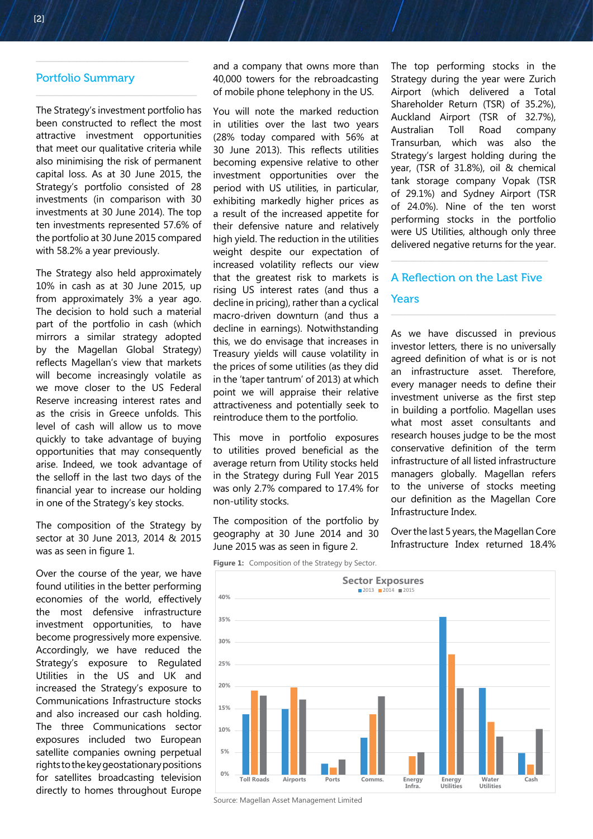### Portfolio Summary

 $\overline{\phantom{a}}$  , where  $\overline{\phantom{a}}$  , where  $\overline{\phantom{a}}$  ,  $\overline{\phantom{a}}$  ,  $\overline{\phantom{a}}$  ,  $\overline{\phantom{a}}$  ,  $\overline{\phantom{a}}$  ,  $\overline{\phantom{a}}$  ,  $\overline{\phantom{a}}$  ,  $\overline{\phantom{a}}$  ,  $\overline{\phantom{a}}$  ,  $\overline{\phantom{a}}$  ,  $\overline{\phantom{a}}$  ,  $\overline{\phantom{a}}$  ,  $\overline{\phantom{a}}$  ,

\_\_\_\_\_\_\_\_\_\_\_\_\_\_\_\_\_\_\_\_\_\_\_\_\_\_\_\_\_\_\_\_\_\_\_\_\_\_\_\_\_\_

The Strategy's investment portfolio has been constructed to reflect the most attractive investment opportunities that meet our qualitative criteria while also minimising the risk of permanent capital loss. As at 30 June 2015, the Strategy's portfolio consisted of 28 investments (in comparison with 30 investments at 30 June 2014). The top ten investments represented 57.6% of the portfolio at 30 June 2015 compared with 58.2% a year previously.

The Strategy also held approximately 10% in cash as at 30 June 2015, up from approximately 3% a year ago. The decision to hold such a material part of the portfolio in cash (which mirrors a similar strategy adopted by the Magellan Global Strategy) reflects Magellan's view that markets will become increasingly volatile as we move closer to the US Federal Reserve increasing interest rates and as the crisis in Greece unfolds. This level of cash will allow us to move quickly to take advantage of buying opportunities that may consequently arise. Indeed, we took advantage of the selloff in the last two days of the financial year to increase our holding in one of the Strategy's key stocks.

The composition of the Strategy by sector at 30 June 2013, 2014 & 2015 was as seen in figure 1.

Over the course of the year, we have found utilities in the better performing economies of the world, effectively the most defensive infrastructure investment opportunities, to have become progressively more expensive. Accordingly, we have reduced the Strategy's exposure to Regulated Utilities in the US and UK and increased the Strategy's exposure to Communications Infrastructure stocks and also increased our cash holding. The three Communications sector exposures included two European satellite companies owning perpetual rights to the key geostationary positions for satellites broadcasting television directly to homes throughout Europe

and a company that owns more than 40,000 towers for the rebroadcasting of mobile phone telephony in the US.

You will note the marked reduction in utilities over the last two years (28% today compared with 56% at 30 June 2013). This reflects utilities becoming expensive relative to other investment opportunities over the period with US utilities, in particular, exhibiting markedly higher prices as a result of the increased appetite for their defensive nature and relatively high yield. The reduction in the utilities weight despite our expectation of increased volatility reflects our view that the greatest risk to markets is rising US interest rates (and thus a decline in pricing), rather than a cyclical macro-driven downturn (and thus a decline in earnings). Notwithstanding this, we do envisage that increases in Treasury yields will cause volatility in the prices of some utilities (as they did in the 'taper tantrum' of 2013) at which point we will appraise their relative attractiveness and potentially seek to reintroduce them to the portfolio.

This move in portfolio exposures to utilities proved beneficial as the average return from Utility stocks held in the Strategy during Full Year 2015 was only 2.7% compared to 17.4% for non-utility stocks.

The composition of the portfolio by geography at 30 June 2014 and 30 June 2015 was as seen in figure 2.

**Figure 1:** Composition of the Strategy by Sector.



Source: Magellan Asset Management Limited

The top performing stocks in the Strategy during the year were Zurich Airport (which delivered a Total Shareholder Return (TSR) of 35.2%), Auckland Airport (TSR of 32.7%), Australian Toll Road company Transurban, which was also the Strategy's largest holding during the year, (TSR of 31.8%), oil & chemical tank storage company Vopak (TSR of 29.1%) and Sydney Airport (TSR of 24.0%). Nine of the ten worst performing stocks in the portfolio were US Utilities, although only three delivered negative returns for the year.

## A Reflection on the Last Five Years

 $\overline{\phantom{a}}$  , and the set of the set of the set of the set of the set of the set of the set of the set of the set of the set of the set of the set of the set of the set of the set of the set of the set of the set of the s

As we have discussed in previous investor letters, there is no universally agreed definition of what is or is not an infrastructure asset. Therefore, every manager needs to define their investment universe as the first step in building a portfolio. Magellan uses what most asset consultants and research houses judge to be the most conservative definition of the term infrastructure of all listed infrastructure managers globally. Magellan refers to the universe of stocks meeting our definition as the Magellan Core Infrastructure Index.

Over the last 5 years, the Magellan Core Infrastructure Index returned 18.4%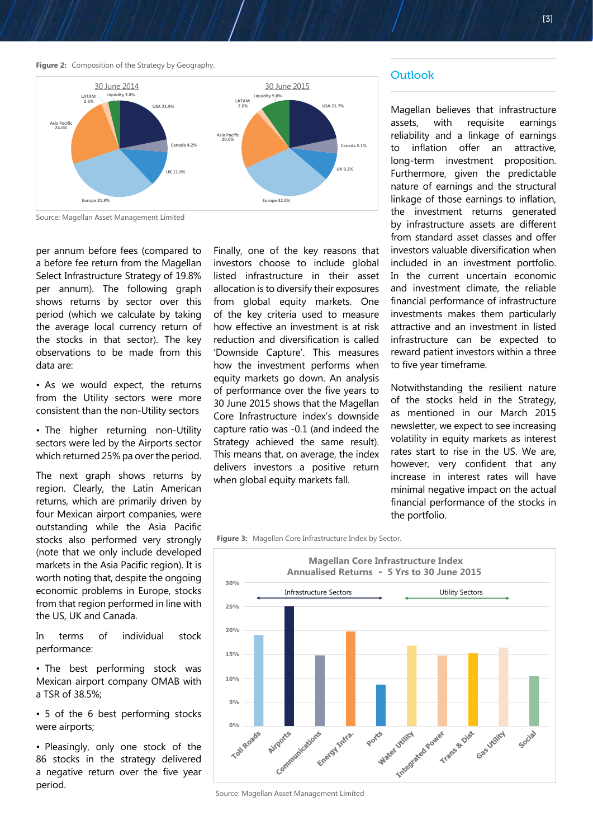**Figure 2:** Composition of the Strategy by Geography.



Source: Magellan Asset Management Limited

per annum before fees (compared to a before fee return from the Magellan Select Infrastructure Strategy of 19.8% per annum). The following graph shows returns by sector over this period (which we calculate by taking the average local currency return of the stocks in that sector). The key observations to be made from this data are:

• As we would expect, the returns from the Utility sectors were more consistent than the non-Utility sectors

• The higher returning non-Utility sectors were led by the Airports sector which returned 25% pa over the period.

The next graph shows returns by region. Clearly, the Latin American returns, which are primarily driven by four Mexican airport companies, were outstanding while the Asia Pacific stocks also performed very strongly (note that we only include developed markets in the Asia Pacific region). It is worth noting that, despite the ongoing economic problems in Europe, stocks from that region performed in line with the US, UK and Canada.

In terms of individual stock performance:

• The best performing stock was Mexican airport company OMAB with a TSR of 38.5%;

• 5 of the 6 best performing stocks were airports;

• Pleasingly, only one stock of the 86 stocks in the strategy delivered a negative return over the five year period.

Finally, one of the key reasons that investors choose to include global listed infrastructure in their asset allocation is to diversify their exposures from global equity markets. One of the key criteria used to measure how effective an investment is at risk reduction and diversification is called 'Downside Capture'. This measures how the investment performs when equity markets go down. An analysis of performance over the five years to 30 June 2015 shows that the Magellan Core Infrastructure index's downside capture ratio was -0.1 (and indeed the Strategy achieved the same result). This means that, on average, the index delivers investors a positive return when global equity markets fall.

#### **Outlook**

Magellan believes that infrastructure assets, with requisite earnings reliability and a linkage of earnings to inflation offer an attractive, long-term investment proposition. Furthermore, given the predictable nature of earnings and the structural linkage of those earnings to inflation, the investment returns generated by infrastructure assets are different from standard asset classes and offer investors valuable diversification when included in an investment portfolio. In the current uncertain economic and investment climate, the reliable financial performance of infrastructure investments makes them particularly attractive and an investment in listed infrastructure can be expected to reward patient investors within a three to five year timeframe.

 $\overline{\phantom{a}}$  , and the contract of the contract of the contract of the contract of the contract of the contract of the contract of the contract of the contract of the contract of the contract of the contract of the contrac

Notwithstanding the resilient nature of the stocks held in the Strategy, as mentioned in our March 2015 newsletter, we expect to see increasing volatility in equity markets as interest rates start to rise in the US. We are, however, very confident that any increase in interest rates will have minimal negative impact on the actual financial performance of the stocks in the portfolio.

**Figure 3:** Magellan Core Infrastructure Index by Sector.



Source: Magellan Asset Management Limited